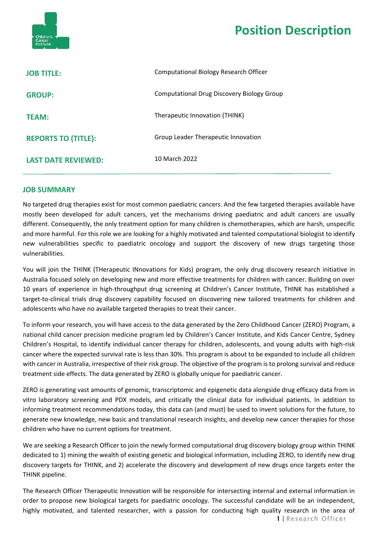

# **Position Description**

| <b>JOB TITLE:</b>          | <b>Computational Biology Research Officer</b>     |
|----------------------------|---------------------------------------------------|
| <b>GROUP:</b>              | <b>Computational Drug Discovery Biology Group</b> |
| <b>TEAM:</b>               | Therapeutic Innovation (THINK)                    |
| <b>REPORTS TO (TITLE):</b> | Group Leader Therapeutic Innovation               |
| <b>LAST DATE REVIEWED:</b> | 10 March 2022                                     |

### **JOB SUMMARY**

No targeted drug therapies exist for most common paediatric cancers. And the few targeted therapies available have mostly been developed for adult cancers, yet the mechanisms driving paediatric and adult cancers are usually different. Consequently, the only treatment option for many children is chemotherapies, which are harsh, unspecific and more harmful. For this role we are looking for a highly motivated and talented computational biologist to identify new vulnerabilities specific to paediatric oncology and support the discovery of new drugs targeting those vulnerabilities.

You will join the THINK (THerapeutic INnovations for Kids) program, the only drug discovery research initiative in Australia focused solely on developing new and more effective treatments for children with cancer. Building on over 10 years of experience in high-throughput drug screening at Children's Cancer Institute, THINK has established a target-to-clinical trials drug discovery capability focused on discovering new tailored treatments for children and adolescents who have no available targeted therapies to treat their cancer.

To inform your research, you will have access to the data generated by the Zero Childhood Cancer (ZERO) Program, a national child cancer precision medicine program led by Children's Cancer Institute, and Kids Cancer Centre, Sydney Children's Hospital, to identify individual cancer therapy for children, adolescents, and young adults with high-risk cancer where the expected survival rate is less than 30%. This program is about to be expanded to include all children with cancer in Australia, irrespective of their risk group. The objective of the program is to prolong survival and reduce treatment side effects. The data generated by ZERO is globally unique for paediatric cancer.

ZERO is generating vast amounts of genomic, transcriptomic and epigenetic data alongside drug efficacy data from in vitro laboratory screening and PDX models, and critically the clinical data for individual patients. In addition to informing treatment recommendations today, this data can (and must) be used to invent solutions for the future, to generate new knowledge, new basic and translational research insights, and develop new cancer therapies for those children who have no current options for treatment.

We are seeking a Research Officer to join the newly formed computational drug discovery biology group within THINK dedicated to 1) mining the wealth of existing genetic and biological information, including ZERO, to identify new drug discovery targets for THINK, and 2) accelerate the discovery and development of new drugs once targets enter the THINK pipeline.

The Research Officer Therapeutic Innovation will be responsible for intersecting internal and external information in order to propose new biological targets for paediatric oncology. The successful candidate will be an independent, highly motivated, and talented researcher, with a passion for conducting high quality research in the area of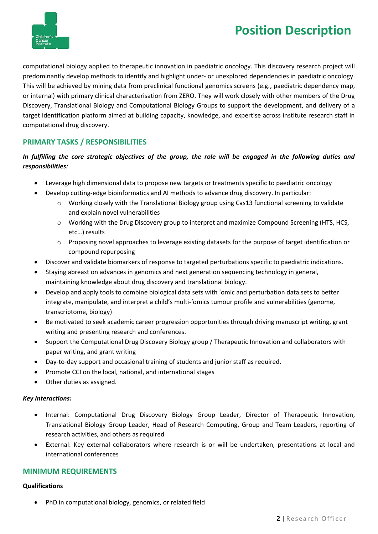# **Position Description**



computational biology applied to therapeutic innovation in paediatric oncology. This discovery research project will predominantly develop methods to identify and highlight under- or unexplored dependencies in paediatric oncology. This will be achieved by mining data from preclinical functional genomics screens (e.g., paediatric dependency map, or internal) with primary clinical characterisation from ZERO. They will work closely with other members of the Drug Discovery, Translational Biology and Computational Biology Groups to support the development, and delivery of a target identification platform aimed at building capacity, knowledge, and expertise across institute research staff in computational drug discovery.

# **PRIMARY TASKS / RESPONSIBILITIES**

## *In fulfilling the core strategic objectives of the group, the role will be engaged in the following duties and responsibilities:*

- Leverage high dimensional data to propose new targets or treatments specific to paediatric oncology
- Develop cutting-edge bioinformatics and AI methods to advance drug discovery. In particular:
	- $\circ$  Working closely with the Translational Biology group using Cas13 functional screening to validate and explain novel vulnerabilities
	- o Working with the Drug Discovery group to interpret and maximize Compound Screening (HTS, HCS, etc…) results
	- o Proposing novel approaches to leverage existing datasets for the purpose of target identification or compound repurposing
- Discover and validate biomarkers of response to targeted perturbations specific to paediatric indications.
- Staying abreast on advances in genomics and next generation sequencing technology in general, maintaining knowledge about drug discovery and translational biology.
- Develop and apply tools to combine biological data sets with 'omic and perturbation data sets to better integrate, manipulate, and interpret a child's multi-'omics tumour profile and vulnerabilities (genome, transcriptome, biology)
- Be motivated to seek academic career progression opportunities through driving manuscript writing, grant writing and presenting research and conferences.
- Support the Computational Drug Discovery Biology group / Therapeutic Innovation and collaborators with paper writing, and grant writing
- Day-to-day support and occasional training of students and junior staff as required.
- Promote CCI on the local, national, and international stages
- Other duties as assigned.

### *Key Interactions:*

- Internal: Computational Drug Discovery Biology Group Leader, Director of Therapeutic Innovation, Translational Biology Group Leader, Head of Research Computing, Group and Team Leaders, reporting of research activities, and others as required
- External: Key external collaborators where research is or will be undertaken, presentations at local and international conferences

## **MINIMUM REQUIREMENTS**

#### **Qualifications**

• PhD in computational biology, genomics, or related field